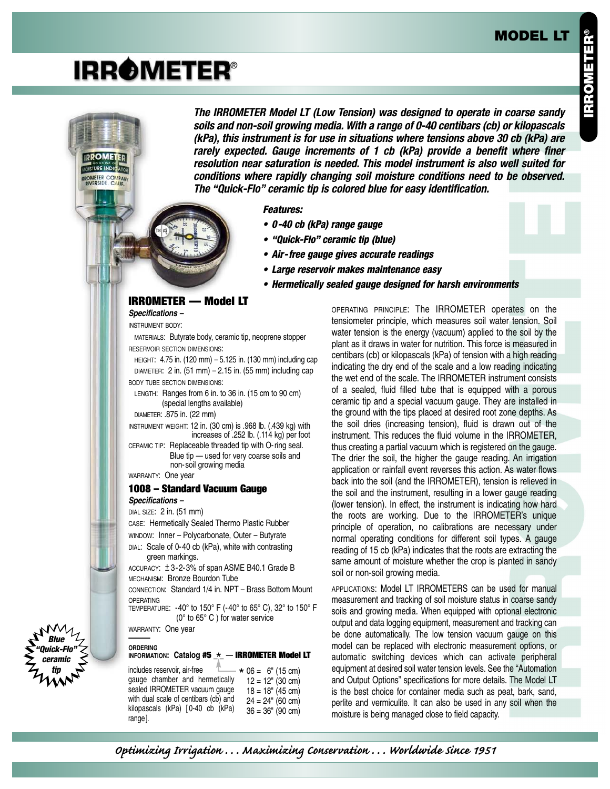## **MODEL LT**

# **IRROMETER®**

**IDDOMET** 

OMETER COMPANY

**The IRROMETER Model LT (Low Tension) was designed to operate in coarse sandy soils and non-soil growing media. With a range of 0-40 centibars (cb) or kilopascals (kPa), this instrument is for use in situations where tensions above 30 cb (kPa) are rarely expected. Gauge increments of 1 cb (kPa) provide a benefit where finer resolution near saturation is needed. This model instrument is also well suited for conditions where rapidly changing soil moisture conditions need to be observed. The "Quick-Flo" ceramic tip is colored blue for easy identification.**

#### **Features:**

- **0-40 cb (kPa) range gauge**
- **"Quick-Flo" ceramic tip (blue)**
- **Air-free gauge gives accurate readings**
- **Large reservoir makes maintenance easy**
- **Hermetically sealed gauge designed for harsh environments**

## **IRROMETER — Model LT**

**Specifications –**

INSTRUMENT BODY:

MATERIALS: Butyrate body, ceramic tip, neoprene stopper RESERVOIR SECTION DIMENSIONS:

HEIGHT: 4.75 in. (120 mm) – 5.125 in. (130 mm) including cap DIAMETER: 2 in.  $(51 \text{ mm}) - 2.15$  in.  $(55 \text{ mm})$  including cap BODY TUBE SECTION DIMENSIONS:

LENGTH: Ranges from 6 in. to 36 in. (15 cm to 90 cm) (special lengths available)

DIAMETER: .875 in. (22 mm)

INSTRUMENT WEIGHT: 12 in. (30 cm) is .968 lb. (.439 kg) with increases of .252 lb. (.114 kg) per foot CERAMIC TIP: Replaceable threaded tip with O-ring seal.

Blue tip — used for very coarse soils and non-soil growing media

WARRANTY: One year

#### **1008 – Standard Vacuum Gauge Specifications –**

DIAL SIZE: 2 in. (51 mm)

CASE: Hermetically Sealed Thermo Plastic Rubber WINDOW: Inner – Polycarbonate, Outer – Butyrate

DIAL: Scale of 0-40 cb (kPa), white with contrasting green markings.

```
ACCURACT: <math display="inline">\pm 3-2-3\%</math> of span <math display="inline">ASMEB40.1</math> Grade <math display="inline">B</math>MECHANISM: Bronze Bourdon Tube
```
CONNECTION: Standard 1/4 in. NPT – Brass Bottom Mount OPERATING

TEMPERATURE: -40° to 150° F (-40° to 65° C), 32° to 150° F (0° to 65° C ) for water service

WARRANTY: One year **———**

## **ORDERING**

**Blue "Quick-Flo" ceramic tip**

## **INFORMATION: Catalog #5 \_ \_** — **IRROMETER Model LT** \*

 $*$  06 = 6" (15 cm)  $12 = 12$ " (30 cm)  $18 = 18" (45 cm)$  $24 = 24$ " (60 cm)  $36 = 36" (90 cm)$ includes reservoir, air-free gauge chamber and hermetically sealed IRROMETER vacuum gauge with dual scale of centibars (cb) and kilopascals (kPa) [ 0-40 cb (kPa) range].

OPERATING PRINCIPLE: The IRROMETER operates on the tensiometer principle, which measures soil water tension. Soil water tension is the energy (vacuum) applied to the soil by the plant as it draws in water for nutrition. This force is measured in centibars (cb) or kilopascals (kPa) of tension with a high reading indicating the dry end of the scale and a low reading indicating the wet end of the scale. The IRROMETER instrument consists of a sealed, fluid filled tube that is equipped with a porous ceramic tip and a special vacuum gauge. They are installed in the ground with the tips placed at desired root zone depths. As the soil dries (increasing tension), fluid is drawn out of the instrument. This reduces the fluid volume in the IRROMETER, thus creating a partial vacuum which is registered on the gauge. The drier the soil, the higher the gauge reading. An irrigation application or rainfall event reverses this action. As water flows back into the soil (and the IRROMETER), tension is relieved in the soil and the instrument, resulting in a lower gauge reading (lower tension). In effect, the instrument is indicating how hard the roots are working. Due to the IRROMETER's unique principle of operation, no calibrations are necessary under normal operating conditions for different soil types. A gauge reading of 15 cb (kPa) indicates that the roots are extracting the same amount of moisture whether the crop is planted in sandy soil or non-soil growing media.

APPLICATIONS: Model LT IRROMETERS can be used for manual measurement and tracking of soil moisture status in coarse sandy soils and growing media. When equipped with optional electronic output and data logging equipment, measurement and tracking can be done automatically. The low tension vacuum gauge on this model can be replaced with electronic measurement options, or automatic switching devices which can activate peripheral equipment at desired soil water tension levels. See the "Automation and Output Options" specifications for more details. The Model LT is the best choice for container media such as peat, bark, sand, perlite and vermiculite. It can also be used in any soil when the moisture is being managed close to field capacity.

*Optimizing Irrigation . . . Maximizing Conservation . . . Worldwide Since 1951*